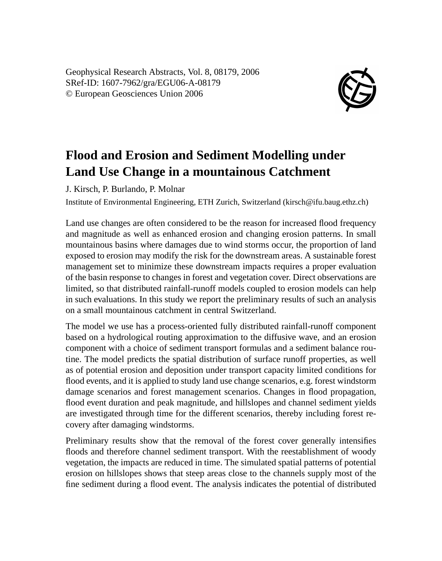Geophysical Research Abstracts, Vol. 8, 08179, 2006 SRef-ID: 1607-7962/gra/EGU06-A-08179 © European Geosciences Union 2006



## **Flood and Erosion and Sediment Modelling under Land Use Change in a mountainous Catchment**

J. Kirsch, P. Burlando, P. Molnar

Institute of Environmental Engineering, ETH Zurich, Switzerland (kirsch@ifu.baug.ethz.ch)

Land use changes are often considered to be the reason for increased flood frequency and magnitude as well as enhanced erosion and changing erosion patterns. In small mountainous basins where damages due to wind storms occur, the proportion of land exposed to erosion may modify the risk for the downstream areas. A sustainable forest management set to minimize these downstream impacts requires a proper evaluation of the basin response to changes in forest and vegetation cover. Direct observations are limited, so that distributed rainfall-runoff models coupled to erosion models can help in such evaluations. In this study we report the preliminary results of such an analysis on a small mountainous catchment in central Switzerland.

The model we use has a process-oriented fully distributed rainfall-runoff component based on a hydrological routing approximation to the diffusive wave, and an erosion component with a choice of sediment transport formulas and a sediment balance routine. The model predicts the spatial distribution of surface runoff properties, as well as of potential erosion and deposition under transport capacity limited conditions for flood events, and it is applied to study land use change scenarios, e.g. forest windstorm damage scenarios and forest management scenarios. Changes in flood propagation, flood event duration and peak magnitude, and hillslopes and channel sediment yields are investigated through time for the different scenarios, thereby including forest recovery after damaging windstorms.

Preliminary results show that the removal of the forest cover generally intensifies floods and therefore channel sediment transport. With the reestablishment of woody vegetation, the impacts are reduced in time. The simulated spatial patterns of potential erosion on hillslopes shows that steep areas close to the channels supply most of the fine sediment during a flood event. The analysis indicates the potential of distributed